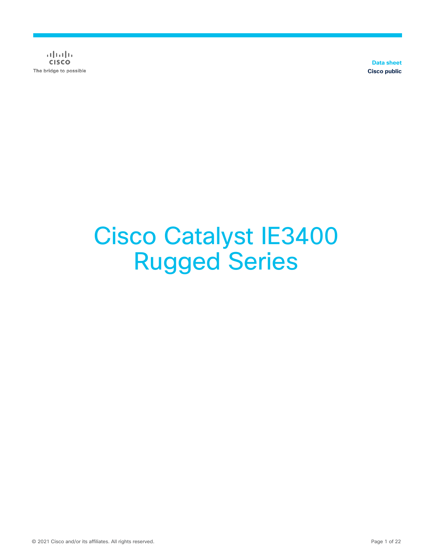$\alpha$  in the **CISCO** The bridge to possible

**Data sheet Cisco public**

# Cisco Catalyst IE3400 Rugged Series

© 2021 Cisco and/or its affiliates. All rights reserved. Page 1 of 22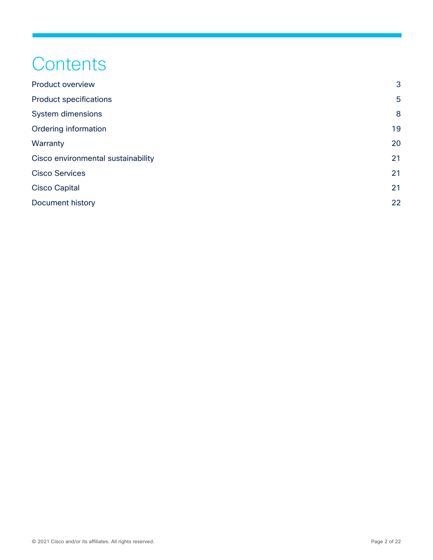## **Contents**

| <b>Product overview</b>            | 3  |
|------------------------------------|----|
| <b>Product specifications</b>      | 5  |
| <b>System dimensions</b>           | 8  |
| Ordering information               | 19 |
| Warranty                           | 20 |
| Cisco environmental sustainability | 21 |
| <b>Cisco Services</b>              | 21 |
| <b>Cisco Capital</b>               | 21 |
| <b>Document history</b>            | 22 |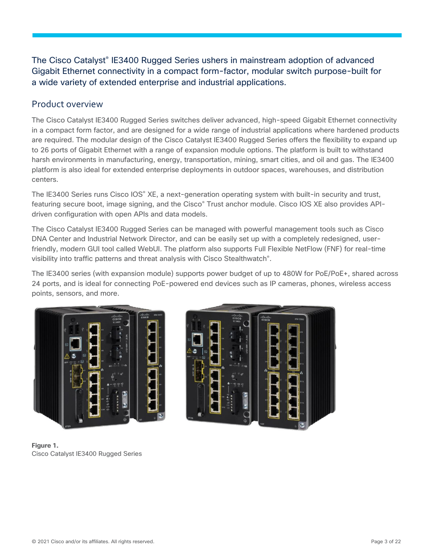The Cisco Catalyst<sup>®</sup> IE3400 Rugged Series ushers in mainstream adoption of advanced Gigabit Ethernet connectivity in a compact form-factor, modular switch purpose-built for a wide variety of extended enterprise and industrial applications.

### <span id="page-2-0"></span>Product overview

The Cisco Catalyst IE3400 Rugged Series switches deliver advanced, high-speed Gigabit Ethernet connectivity in a compact form factor, and are designed for a wide range of industrial applications where hardened products are required. The modular design of the Cisco Catalyst IE3400 Rugged Series offers the flexibility to expand up to 26 ports of Gigabit Ethernet with a range of expansion module options. The platform is built to withstand harsh environments in manufacturing, energy, transportation, mining, smart cities, and oil and gas. The IE3400 platform is also ideal for extended enterprise deployments in outdoor spaces, warehouses, and distribution centers.

The IE3400 Series runs Cisco IOS<sup>®</sup> XE, a next-generation operating system with built-in security and trust, featuring secure boot, image signing, and the Cisco<sup>®</sup> Trust anchor module. Cisco IOS XE also provides APIdriven configuration with open APIs and data models.

The Cisco Catalyst IE3400 Rugged Series can be managed with powerful management tools such as Cisco DNA Center and Industrial Network Director, and can be easily set up with a completely redesigned, userfriendly, modern GUI tool called WebUI. The platform also supports Full Flexible NetFlow (FNF) for real-time visibility into traffic patterns and threat analysis with Cisco Stealthwatch® .

The IE3400 series (with expansion module) supports power budget of up to 480W for PoE/PoE+, shared across 24 ports, and is ideal for connecting PoE-powered end devices such as IP cameras, phones, wireless access points, sensors, and more.





**Figure 1.**  Cisco Catalyst IE3400 Rugged Series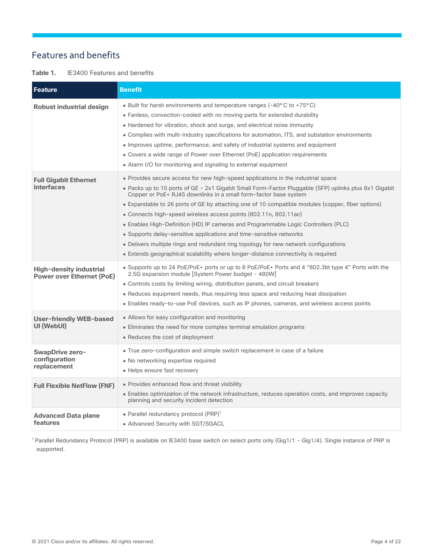## Features and benefits

Table 1. **IE3400 Features and benefits** 

| <b>Feature</b>                                              | <b>Benefit</b>                                                                                                                                                                                                                                                                                                                                                                                                                                                                                                                                                                                                                                                                                                                                                                  |
|-------------------------------------------------------------|---------------------------------------------------------------------------------------------------------------------------------------------------------------------------------------------------------------------------------------------------------------------------------------------------------------------------------------------------------------------------------------------------------------------------------------------------------------------------------------------------------------------------------------------------------------------------------------------------------------------------------------------------------------------------------------------------------------------------------------------------------------------------------|
| <b>Robust industrial design</b>                             | • Built for harsh environments and temperature ranges $(-40^{\circ} \text{C to } +75^{\circ} \text{C})$<br>• Fanless, convection-cooled with no moving parts for extended durability<br>• Hardened for vibration, shock and surge, and electrical noise immunity<br>• Complies with multi-industry specifications for automation, ITS, and substation environments<br>• Improves uptime, performance, and safety of industrial systems and equipment<br>• Covers a wide range of Power over Ethernet (PoE) application requirements<br>• Alarm I/O for monitoring and signaling to external equipment                                                                                                                                                                           |
| <b>Full Gigabit Ethernet</b><br><b>interfaces</b>           | • Provides secure access for new high-speed applications in the industrial space<br>• Packs up to 10 ports of GE - 2x1 Gigabit Small Form-Factor Pluggable (SFP) uplinks plus 8x1 Gigabit<br>Copper or PoE+ RJ45 downlinks in a small form-factor base system<br>• Expandable to 26 ports of GE by attaching one of 10 compatible modules (copper, fiber options)<br>• Connects high-speed wireless access points (802.11n, 802.11ac)<br>• Enables High-Definition (HD) IP cameras and Programmable Logic Controllers (PLC)<br>• Supports delay-sensitive applications and time-sensitive networks<br>• Delivers multiple rings and redundant ring topology for new network configurations<br>• Extends geographical scalability where longer-distance connectivity is required |
| High-density industrial<br><b>Power over Ethernet (PoE)</b> | • Supports up to 24 PoE/PoE+ ports or up to 8 PoE/PoE+ Ports and 4 "802.3bt type 4" Ports with the<br>2.5G expansion module [System Power budget - 480W]<br>• Controls costs by limiting wiring, distribution panels, and circuit breakers<br>• Reduces equipment needs, thus requiring less space and reducing heat dissipation<br>· Enables ready-to-use PoE devices, such as IP phones, cameras, and wireless access points                                                                                                                                                                                                                                                                                                                                                  |
| <b>User-friendly WEB-based</b><br>UI (WebUI)                | • Allows for easy configuration and monitoring<br>• Eliminates the need for more complex terminal emulation programs<br>• Reduces the cost of deployment                                                                                                                                                                                                                                                                                                                                                                                                                                                                                                                                                                                                                        |
| SwapDrive zero-<br>configuration<br>replacement             | • True zero-configuration and simple switch replacement in case of a failure<br>• No networking expertise required<br>• Helps ensure fast recovery                                                                                                                                                                                                                                                                                                                                                                                                                                                                                                                                                                                                                              |
| <b>Full Flexible NetFlow (FNF)</b>                          | • Provides enhanced flow and threat visibility<br>• Enables optimization of the network infrastructure, reduces operation costs, and improves capacity<br>planning and security incident detection                                                                                                                                                                                                                                                                                                                                                                                                                                                                                                                                                                              |
| <b>Advanced Data plane</b><br>features                      | • Parallel redundancy protocol $(PRP)^1$<br>• Advanced Security with SGT/SGACL                                                                                                                                                                                                                                                                                                                                                                                                                                                                                                                                                                                                                                                                                                  |

<sup>1</sup> Parallel Redundancy Protocol (PRP) is available on IE3400 base switch on select ports only (Gig1/1 - Gig1/4). Single instance of PRP is supported.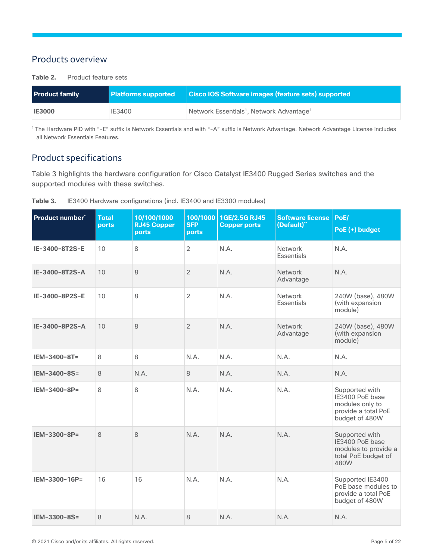## Products overview

<span id="page-4-1"></span>**Table 2.** Product feature sets

| <b>Product family</b> | Platforms supported | <b>Cisco IOS Software images (feature sets) supported</b>        |
|-----------------------|---------------------|------------------------------------------------------------------|
| <b>IE3000</b>         | <b>IE3400</b>       | Network Essentials <sup>1</sup> , Network Advantage <sup>1</sup> |

<sup>1</sup> The Hardware PID with "-E" suffix is Network Essentials and with "-A" suffix is Network Advantage. Network Advantage License includes all Network Essentials Features.

## <span id="page-4-0"></span>Product specifications

Table 3 highlights the hardware configuration for Cisco Catalyst IE3400 Rugged Series switches and the supported modules with these switches.

<span id="page-4-2"></span>

| Table 3. | IE3400 Hardware configurations (incl. IE3400 and IE3300 modules) |  |  |  |
|----------|------------------------------------------------------------------|--|--|--|

| Product number* | <b>Total</b><br>ports | 10/100/1000<br><b>RJ45 Copper</b><br>ports | 100/1000<br><b>SFP</b><br>ports | 1GE/2.5G RJ45<br><b>Copper ports</b> | <b>Software license</b><br>(Default)** | PoE/<br>PoE (+) budget                                                                        |
|-----------------|-----------------------|--------------------------------------------|---------------------------------|--------------------------------------|----------------------------------------|-----------------------------------------------------------------------------------------------|
| IE-3400-8T2S-E  | 10                    | 8                                          | $\overline{2}$                  | N.A.                                 | <b>Network</b><br><b>Essentials</b>    | N.A.                                                                                          |
| IE-3400-8T2S-A  | 10                    | 8                                          | $\overline{2}$                  | N.A.                                 | <b>Network</b><br>Advantage            | N.A.                                                                                          |
| IE-3400-8P2S-E  | 10                    | 8                                          | $\overline{2}$                  | N.A.                                 | <b>Network</b><br><b>Essentials</b>    | 240W (base), 480W<br>(with expansion<br>module)                                               |
| IE-3400-8P2S-A  | 10                    | 8                                          | $\overline{2}$                  | N.A.                                 | <b>Network</b><br>Advantage            | 240W (base), 480W<br>(with expansion<br>module)                                               |
| IEM-3400-8T=    | 8                     | 8                                          | N.A.                            | N.A.                                 | N.A.                                   | N.A.                                                                                          |
| IEM-3400-8S=    | 8                     | N.A.                                       | 8                               | N.A.                                 | N.A.                                   | N.A.                                                                                          |
| $IEM-3400-8P=$  | 8                     | 8                                          | N.A.                            | N.A.                                 | N.A.                                   | Supported with<br>IE3400 PoE base<br>modules only to<br>provide a total PoE<br>budget of 480W |
| $IEM-3300-8P=$  | 8                     | 8                                          | N.A.                            | N.A.                                 | N.A.                                   | Supported with<br>IE3400 PoE base<br>modules to provide a<br>total PoE budget of<br>480W      |
| IEM-3300-16P=   | 16                    | 16                                         | N.A.                            | N.A.                                 | N.A.                                   | Supported IE3400<br>PoE base modules to<br>provide a total PoE<br>budget of 480W              |
| IEM-3300-8S=    | 8                     | N.A.                                       | 8                               | N.A.                                 | N.A.                                   | N.A.                                                                                          |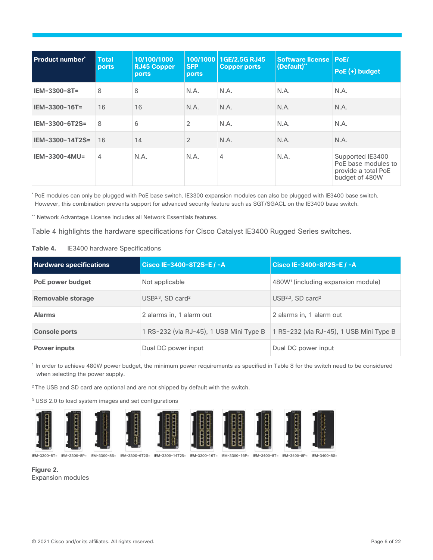| Product number* | <b>Total</b><br>ports | 10/100/1000<br><b>RJ45 Copper</b><br><b>ports</b> | 100/1000<br><b>SFP</b><br>ports | 1GE/2.5G RJ45<br><b>Copper ports</b> | Software license   PoE/<br>(Default)"* | PoE (+) budget                                                                   |
|-----------------|-----------------------|---------------------------------------------------|---------------------------------|--------------------------------------|----------------------------------------|----------------------------------------------------------------------------------|
| $IEM-3300-8T=$  | 8                     | 8                                                 | N.A.                            | N.A.                                 | N.A.                                   | N.A.                                                                             |
| $IEM-3300-16T=$ | 16                    | 16                                                | N.A.                            | N.A.                                 | N.A.                                   | N.A.                                                                             |
| IEM-3300-6T2S=  | 8                     | 6                                                 | 2                               | N.A.                                 | N.A.                                   | N.A.                                                                             |
| IEM-3300-14T2S= | 16                    | 14                                                | $\overline{2}$                  | N.A.                                 | N.A.                                   | N.A.                                                                             |
| IEM-3300-4MU=   | 4                     | N.A.                                              | N.A.                            | 4                                    | N.A.                                   | Supported IE3400<br>PoE base modules to<br>provide a total PoE<br>budget of 480W |

\* PoE modules can only be plugged with PoE base switch. IE3300 expansion modules can also be plugged with IE3400 base switch. However, this combination prevents support for advanced security feature such as SGT/SGACL on the IE3400 base switch.

\*\* Network Advantage License includes all Network Essentials features.

<span id="page-5-0"></span>Table 4 highlights the hardware specifications for Cisco Catalyst IE3400 Rugged Series switches.

| Table 4. |  |  | <b>IE3400 hardware Specifications</b> |
|----------|--|--|---------------------------------------|
|----------|--|--|---------------------------------------|

| <b>Hardware specifications</b> | Cisco IE-3400-8T2S-E / -A               | Cisco IE-3400-8P2S-E / -A                      |
|--------------------------------|-----------------------------------------|------------------------------------------------|
| PoE power budget               | Not applicable                          | 480W <sup>1</sup> (including expansion module) |
| Removable storage              | $USB2,3$ , SD card <sup>2</sup>         | $USB2,3$ , SD card <sup>2</sup>                |
| <b>Alarms</b>                  | 2 alarms in, 1 alarm out                | 2 alarms in, 1 alarm out                       |
| <b>Console ports</b>           | 1 RS-232 (via RJ-45), 1 USB Mini Type B | 1 RS-232 (via RJ-45), 1 USB Mini Type B        |
| <b>Power inputs</b>            | Dual DC power input                     | Dual DC power input                            |

<sup>1</sup> In order to achieve 480W power budget, the minimum power requirements as specified in Table 8 for the switch need to be considered when selecting the power supply.

<sup>2</sup>The USB and SD card are optional and are not shipped by default with the switch.

<sup>3</sup> USB 2.0 to load system images and set configurations



IEM-3300-8T= IEM-3300-8P= IEM-3300-8S= IEM-3300-6T2S= IEM-3300-14T2S= IEM-3300-16T= IEM-3300-16P= IEM-3400-8T= IEM-3400-8P= IEM-3400-8S=

**Figure 2.**  Expansion modules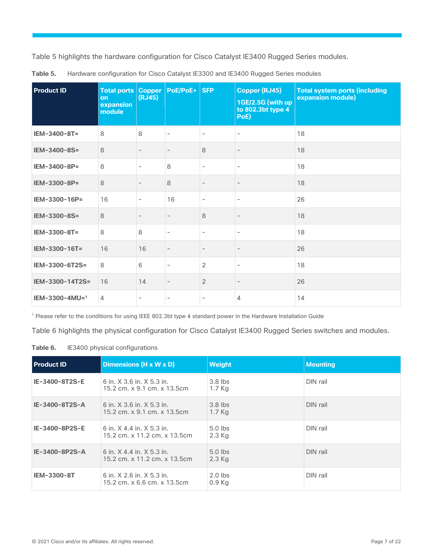Table 5 highlights the hardware configuration for Cisco Catalyst IE3400 Rugged Series modules.

| <b>Product ID</b> | <b>Total ports</b><br>on<br>expansion<br>module | <b>Copper</b><br>(RJ45)  | PoE/PoE+                 | <b>SFP</b>               | <b>Copper (RJ45)</b><br>1GE/2.5G (with up<br>to 802.3bt type 4<br>PoE) | <b>Total system ports (including</b><br>expansion module) |
|-------------------|-------------------------------------------------|--------------------------|--------------------------|--------------------------|------------------------------------------------------------------------|-----------------------------------------------------------|
| IEM-3400-8T=      | 8                                               | 8                        |                          | $\overline{\phantom{a}}$ |                                                                        | 18                                                        |
| IEM-3400-8S=      | $\,8\,$                                         | $\qquad \qquad -$        |                          | $\,8\,$                  | $\qquad \qquad -$                                                      | 18                                                        |
| $IEM-3400-8P=$    | 8                                               | $\overline{\phantom{a}}$ | 8                        | $\overline{\phantom{a}}$ | $\overline{\phantom{0}}$                                               | 18                                                        |
| IEM-3300-8P=      | 8                                               | $\overline{\phantom{0}}$ | 8                        | $\overline{\phantom{a}}$ |                                                                        | 18                                                        |
| IEM-3300-16P=     | 16                                              | $\overline{\phantom{a}}$ | 16                       | $\overline{\phantom{a}}$ | $\overline{\phantom{0}}$                                               | 26                                                        |
| IEM-3300-8S=      | 8                                               | $\qquad \qquad -$        | $\overline{\phantom{a}}$ | 8                        |                                                                        | 18                                                        |
| IEM-3300-8T=      | 8                                               | 8                        |                          | $\overline{\phantom{a}}$ | $\overline{\phantom{0}}$                                               | 18                                                        |
| IEM-3300-16T=     | 16                                              | 16                       |                          | $\overline{\phantom{a}}$ | $\overline{\phantom{0}}$                                               | 26                                                        |
| IEM-3300-6T2S=    | 8                                               | 6                        | $\overline{\phantom{a}}$ | $\overline{2}$           | $\overline{\phantom{0}}$                                               | 18                                                        |
| IEM-3300-14T2S=   | 16                                              | 14                       |                          | $\overline{2}$           | $\overline{\phantom{0}}$                                               | 26                                                        |
| $IEM-3300-4MU=1$  | $\overline{4}$                                  | $\overline{\phantom{0}}$ | $\overline{\phantom{a}}$ | $\overline{\phantom{a}}$ | 4                                                                      | 14                                                        |

**Table 5.** Hardware configuration for Cisco Catalyst IE3300 and IE3400 Rugged Series modules

<sup>1</sup> Please refer to the conditions for using IEEE 802.3bt type 4 standard power in the Hardware Installation Guide

Table 6 highlights the physical configuration for Cisco Catalyst IE3400 Rugged Series switches and modules.

<span id="page-6-0"></span>

| Table 6. |  | IE3400 physical configurations |
|----------|--|--------------------------------|
|          |  |                                |

| <b>Product ID</b>  | Dimensions (H x W x D)                                       | <b>Weight</b>         | <b>Mounting</b> |
|--------------------|--------------------------------------------------------------|-----------------------|-----------------|
| IE-3400-8T2S-E     | 6 in. X 3.6 in. X 5.3 in.<br>15.2 cm, x 9.1 cm, x 13.5 cm    | $3.8$ lbs<br>1.7 Kg   | DIN rail        |
| IE-3400-8T2S-A     | 6 in. X 3.6 in. X 5.3 in.<br>15.2 cm. x 9.1 cm. x 13.5 cm    | $3.8$ lbs<br>1.7 Kg   | DIN rail        |
| IE-3400-8P2S-E     | 6 in. X 4.4 in. X 5.3 in.<br>15.2 cm, x 11.2 cm, x 13.5cm    | $5.0$ lbs<br>$2.3$ Kg | DIN rail        |
| IE-3400-8P2S-A     | 6 in. X 4.4 in. X 5.3 in.<br>15.2 cm. x 11.2 cm. x 13.5 cm   | $5.0$ lbs<br>$2.3$ Kg | DIN rail        |
| <b>IEM-3300-8T</b> | 6 in. $X$ 2.6 in. $X$ 5.3 in.<br>15.2 cm, x 6.6 cm, x 13.5cm | $2.0$ lbs<br>$0.9$ Kg | DIN rail        |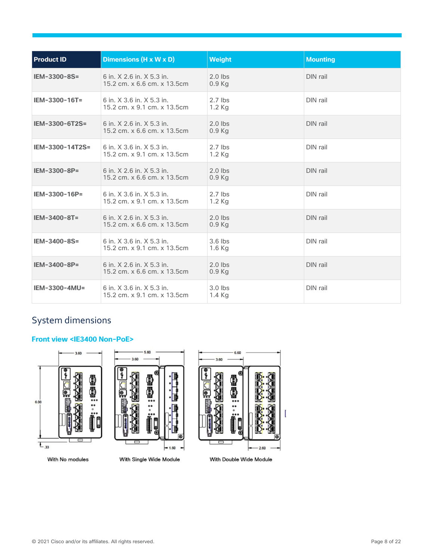| <b>Product ID</b> | Dimensions (H x W x D)                                    | <b>Weight</b>         | <b>Mounting</b> |
|-------------------|-----------------------------------------------------------|-----------------------|-----------------|
| IEM-3300-8S=      | 6 in. X 2.6 in. X 5.3 in.<br>15.2 cm. x 6.6 cm. x 13.5cm  | $2.0$ lbs<br>$0.9$ Kg | DIN rail        |
| $IEM-3300-16T=$   | 6 in. X 3.6 in. X 5.3 in.<br>15.2 cm. x 9.1 cm. x 13.5 cm | $2.7$ lbs<br>1.2 Kg   | DIN rail        |
| IEM-3300-6T2S=    | 6 in. X 2.6 in. X 5.3 in.<br>15.2 cm. x 6.6 cm. x 13.5 cm | $2.0$ lbs<br>$0.9$ Kg | DIN rail        |
| IEM-3300-14T2S=   | 6 in. X 3.6 in. X 5.3 in.<br>15.2 cm. x 9.1 cm. x 13.5 cm | $2.7$ lbs<br>$1.2$ Kg | DIN rail        |
| $IEM-3300-8P=$    | 6 in. X 2.6 in. X 5.3 in.<br>15.2 cm. x 6.6 cm. x 13.5 cm | $2.0$ lbs<br>$0.9$ Kg | DIN rail        |
| $IEM-3300-16P=$   | 6 in. X 3.6 in. X 5.3 in.<br>15.2 cm. x 9.1 cm. x 13.5cm  | $2.7$ lbs<br>1.2 Kg   | DIN rail        |
| IEM-3400-8T=      | 6 in. X 2.6 in. X 5.3 in.<br>15.2 cm. x 6.6 cm. x 13.5 cm | $2.0$ lbs<br>$0.9$ Kg | DIN rail        |
| IEM-3400-8S=      | 6 in. X 3.6 in. X 5.3 in.<br>15.2 cm. x 9.1 cm. x 13.5cm  | $3.6$ lbs<br>1.6 Kg   | DIN rail        |
| $IEM-3400-8P=$    | 6 in. X 2.6 in. X 5.3 in.<br>15.2 cm. x 6.6 cm. x 13.5 cm | $2.0$ lbs<br>$0.9$ Kg | DIN rail        |
| $IEM-3300-4MU=$   | 6 in. X 3.6 in. X 5.3 in.<br>15.2 cm. x 9.1 cm. x 13.5 cm | $3.0$ lbs<br>1.4 Kg   | DIN rail        |

## <span id="page-7-0"></span>System dimensions

#### **Front view <IE3400 Non-PoE>**







With Double Wide Module

With No modules

With Single Wide Module

© 2021 Cisco and/or its affiliates. All rights reserved. Page 8 of 22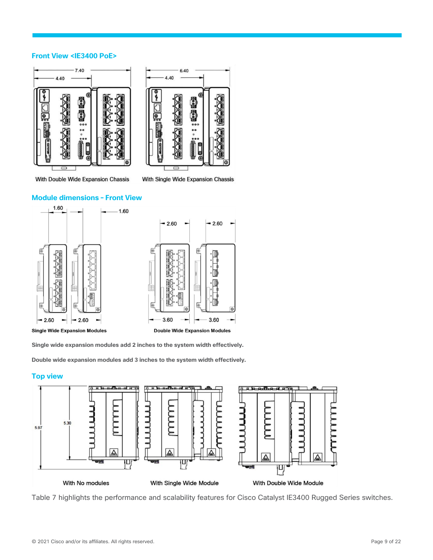#### **Front View <IE3400 PoE>**





With Double Wide Expansion Chassis

With Single Wide Expansion Chassis



1.60





**Single wide expansion modules add 2 inches to the system width effectively.**

**Double wide expansion modules add 3 inches to the system width effectively.**

#### **Top view**



Table 7 highlights the performance and scalability features for Cisco Catalyst IE3400 Rugged Series switches.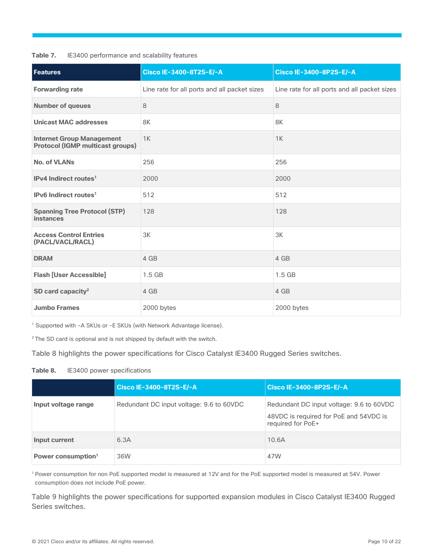#### **Table 7.** IE3400 performance and scalability features

| Features                                                                    | Cisco IE-3400-8T2S-E/-A                      | Cisco IE-3400-8P2S-E/-A                      |
|-----------------------------------------------------------------------------|----------------------------------------------|----------------------------------------------|
| <b>Forwarding rate</b>                                                      | Line rate for all ports and all packet sizes | Line rate for all ports and all packet sizes |
| <b>Number of queues</b>                                                     | 8                                            | 8                                            |
| <b>Unicast MAC addresses</b>                                                | 8K                                           | 8K                                           |
| <b>Internet Group Management</b><br><b>Protocol (IGMP multicast groups)</b> | 1K                                           | 1K                                           |
| <b>No. of VLANs</b>                                                         | 256                                          | 256                                          |
| IPv4 Indirect routes <sup>1</sup>                                           | 2000                                         | 2000                                         |
| IPv6 Indirect routes <sup>1</sup>                                           | 512                                          | 512                                          |
| <b>Spanning Tree Protocol (STP)</b><br><b>instances</b>                     | 128                                          | 128                                          |
| <b>Access Control Entries</b><br>(PACL/VACL/RACL)                           | 3K                                           | 3K                                           |
| <b>DRAM</b>                                                                 | 4 GB                                         | 4 GB                                         |
| <b>Flash [User Accessible]</b>                                              | $1.5$ GB                                     | $1.5$ GB                                     |
| SD card capacity <sup>2</sup>                                               | 4 GB                                         | 4 GB                                         |
| <b>Jumbo Frames</b>                                                         | 2000 bytes                                   | 2000 bytes                                   |

<sup>1</sup> Supported with -A SKUs or -E SKUs (with Network Advantage license).

<sup>2</sup>The SD card is optional and is not shipped by default with the switch.

Table 8 highlights the power specifications for Cisco Catalyst IE3400 Rugged Series switches.

#### <span id="page-9-0"></span>**Table 8.** IE3400 power specifications

|                                | Cisco IE-3400-8T2S-E/-A                  | Cisco IE-3400-8P2S-E/-A                                                                                 |
|--------------------------------|------------------------------------------|---------------------------------------------------------------------------------------------------------|
| Input voltage range            | Redundant DC input voltage: 9.6 to 60VDC | Redundant DC input voltage: 9.6 to 60VDC<br>48VDC is required for PoE and 54VDC is<br>required for PoE+ |
| Input current                  | 6.3A                                     | 10.6A                                                                                                   |
| Power consumption <sup>1</sup> | 36W                                      | 47W                                                                                                     |

<sup>1</sup> Power consumption for non PoE supported model is measured at 12V and for the PoE supported model is measured at 54V. Power consumption does not include PoE power.

Table 9 highlights the power specifications for supported expansion modules in Cisco Catalyst IE3400 Rugged Series switches.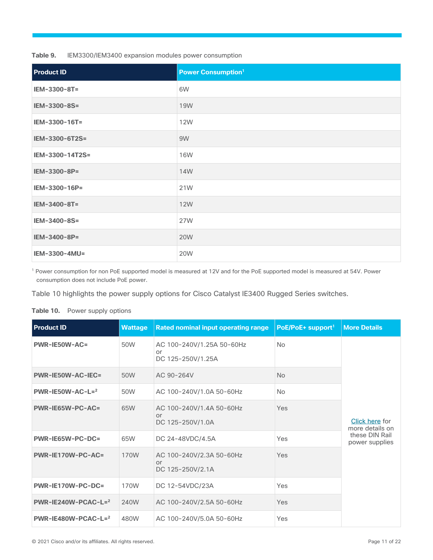<span id="page-10-1"></span>**Table 9.** IEM3300/IEM3400 expansion modules power consumption

| <b>Product ID</b> | <b>Power Consumption<sup>1</sup></b> |
|-------------------|--------------------------------------|
| IEM-3300-8T=      | 6W                                   |
| IEM-3300-8S=      | <b>19W</b>                           |
| IEM-3300-16T=     | <b>12W</b>                           |
| IEM-3300-6T2S=    | 9W                                   |
| IEM-3300-14T2S=   | <b>16W</b>                           |
| IEM-3300-8P=      | 14W                                  |
| IEM-3300-16P=     | 21W                                  |
| IEM-3400-8T=      | <b>12W</b>                           |
| IEM-3400-8S=      | 27W                                  |
| IEM-3400-8P=      | <b>20W</b>                           |
| IEM-3300-4MU=     | <b>20W</b>                           |

<sup>1</sup> Power consumption for non PoE supported model is measured at 12V and for the PoE supported model is measured at 54V. Power consumption does not include PoE power.

Table 10 highlights the power supply options for Cisco Catalyst IE3400 Rugged Series switches.

| <b>Product ID</b>        | <b>Wattage</b> | <b>Rated nominal input operating range</b>                | PoE/PoE+ support <sup>1</sup> | <b>More Details</b>                      |  |
|--------------------------|----------------|-----------------------------------------------------------|-------------------------------|------------------------------------------|--|
| <b>PWR-IE50W-AC=</b>     | 50W            | AC 100-240V/1.25A 50-60Hz<br>or<br>DC 125-250V/1.25A      | <b>No</b>                     |                                          |  |
| <b>PWR-IE50W-AC-IEC=</b> | 50W            | AC 90-264V                                                | <b>No</b>                     |                                          |  |
| $PWR-IE50W-AC-L=2$       | 50W            | AC 100-240V/1.0A 50-60Hz                                  | <b>No</b>                     |                                          |  |
| <b>PWR-IE65W-PC-AC=</b>  | 65W            | AC 100-240V/1.4A 50-60Hz<br><b>or</b><br>DC 125-250V/1.0A | Yes                           | <b>Click here</b> for<br>more details on |  |
| PWR-IE65W-PC-DC=         | 65W            | DC 24-48VDC/4.5A                                          | Yes                           | these DIN Rail<br>power supplies         |  |
| <b>PWR-IE170W-PC-AC=</b> | 170W           | AC 100-240V/2.3A 50-60Hz<br>or<br>DC 125-250V/2.1A        | Yes                           |                                          |  |
| <b>PWR-IE170W-PC-DC=</b> | 170W           | DC 12-54VDC/23A                                           | Yes                           |                                          |  |
| $PWR-IE240W-PCAC-L=2$    | 240W           | AC 100-240V/2.5A 50-60Hz                                  | Yes                           |                                          |  |
| $PWR-IE480W-PCAC-L=2$    | 480W           | AC 100-240V/5.0A 50-60Hz                                  | Yes                           |                                          |  |

#### <span id="page-10-2"></span><span id="page-10-0"></span>**Table 10.** Power supply options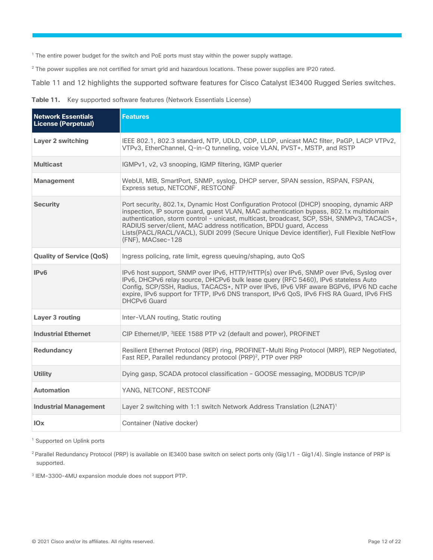<sup>1</sup> The entire power budget for the switch and PoE ports must stay within the power supply wattage.

<sup>2</sup> The power supplies are not certified for smart grid and hazardous locations. These power supplies are IP20 rated.

Table 11 and 12 highlights the supported software features for Cisco Catalyst IE3400 Rugged Series switches.

<span id="page-11-0"></span>

|  | Table 11. Key supported software features (Network Essentials License) |  |  |  |  |  |
|--|------------------------------------------------------------------------|--|--|--|--|--|
|--|------------------------------------------------------------------------|--|--|--|--|--|

| <b>Network Essentials</b><br><b>License (Perpetual)</b> | <b>Features</b>                                                                                                                                                                                                                                                                                                                                                                                                                                                        |
|---------------------------------------------------------|------------------------------------------------------------------------------------------------------------------------------------------------------------------------------------------------------------------------------------------------------------------------------------------------------------------------------------------------------------------------------------------------------------------------------------------------------------------------|
| <b>Layer 2 switching</b>                                | IEEE 802.1, 802.3 standard, NTP, UDLD, CDP, LLDP, unicast MAC filter, PaGP, LACP VTPv2,<br>VTPv3, EtherChannel, Q-in-Q tunneling, voice VLAN, PVST+, MSTP, and RSTP                                                                                                                                                                                                                                                                                                    |
| <b>Multicast</b>                                        | IGMPv1, v2, v3 snooping, IGMP filtering, IGMP querier                                                                                                                                                                                                                                                                                                                                                                                                                  |
| <b>Management</b>                                       | WebUI, MIB, SmartPort, SNMP, syslog, DHCP server, SPAN session, RSPAN, FSPAN,<br>Express setup, NETCONF, RESTCONF                                                                                                                                                                                                                                                                                                                                                      |
| <b>Security</b>                                         | Port security, 802.1x, Dynamic Host Configuration Protocol (DHCP) snooping, dynamic ARP<br>inspection, IP source guard, guest VLAN, MAC authentication bypass, 802.1x multidomain<br>authentication, storm control - unicast, multicast, broadcast, SCP, SSH, SNMPv3, TACACS+,<br>RADIUS server/client, MAC address notification, BPDU guard, Access<br>Lists(PACL/RACL/VACL), SUDI 2099 (Secure Unique Device identifier), Full Flexible NetFlow<br>(FNF), MACsec-128 |
| <b>Quality of Service (QoS)</b>                         | Ingress policing, rate limit, egress queuing/shaping, auto QoS                                                                                                                                                                                                                                                                                                                                                                                                         |
| IPv6                                                    | IPv6 host support, SNMP over IPv6, HTTP/HTTP(s) over IPv6, SNMP over IPv6, Syslog over<br>IPv6, DHCPv6 relay source, DHCPv6 bulk lease query (RFC 5460), IPv6 stateless Auto<br>Config, SCP/SSH, Radius, TACACS+, NTP over IPv6, IPv6 VRF aware BGPv6, IPV6 ND cache<br>expire, IPv6 support for TFTP, IPv6 DNS transport, IPv6 QoS, IPv6 FHS RA Guard, IPv6 FHS<br>DHCPv6 Guard                                                                                       |
| <b>Layer 3 routing</b>                                  | Inter-VLAN routing, Static routing                                                                                                                                                                                                                                                                                                                                                                                                                                     |
| <b>Industrial Ethernet</b>                              | CIP Ethernet/IP, <sup>3</sup> IEEE 1588 PTP v2 (default and power), PROFINET                                                                                                                                                                                                                                                                                                                                                                                           |
| <b>Redundancy</b>                                       | Resilient Ethernet Protocol (REP) ring, PROFINET-Multi Ring Protocol (MRP), REP Negotiated,<br>Fast REP, Parallel redundancy protocol (PRP) <sup>2</sup> , PTP over PRP                                                                                                                                                                                                                                                                                                |
| <b>Utility</b>                                          | Dying gasp, SCADA protocol classification - GOOSE messaging, MODBUS TCP/IP                                                                                                                                                                                                                                                                                                                                                                                             |
| <b>Automation</b>                                       | YANG, NETCONF, RESTCONF                                                                                                                                                                                                                                                                                                                                                                                                                                                |
| <b>Industrial Management</b>                            | Layer 2 switching with 1:1 switch Network Address Translation (L2NAT) <sup>1</sup>                                                                                                                                                                                                                                                                                                                                                                                     |
| IOx                                                     | Container (Native docker)                                                                                                                                                                                                                                                                                                                                                                                                                                              |

<sup>1</sup> Supported on Uplink ports

<sup>2</sup> Parallel Redundancy Protocol (PRP) is available on IE3400 base switch on select ports only (Gig1/1 - Gig1/4). Single instance of PRP is supported.

3 IEM-3300-4MU expansion module does not support PTP.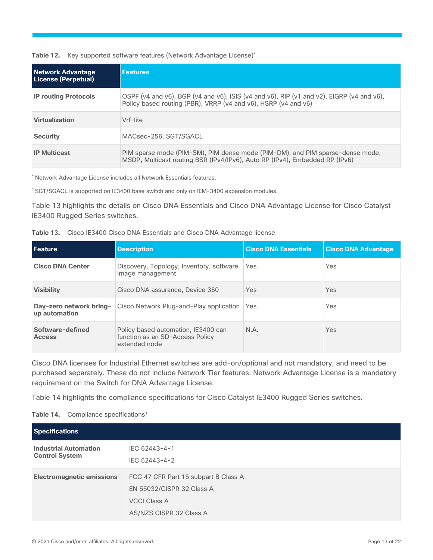#### <span id="page-12-1"></span>**Table 12.** Key supported software features (Network Advantage License)\*

| <b>Network Advantage</b><br>License (Perpetual) | <b>Features</b>                                                                                                                                              |
|-------------------------------------------------|--------------------------------------------------------------------------------------------------------------------------------------------------------------|
| <b>IP routing Protocols</b>                     | OSPF (v4 and v6), BGP (v4 and v6), ISIS (v4 and v6), RIP (v1 and v2), EIGRP (v4 and v6),<br>Policy based routing (PBR), VRRP (v4 and v6), HSRP (v4 and v6)   |
| <b>Virtualization</b>                           | Vrf-lite                                                                                                                                                     |
| <b>Security</b>                                 | MACsec-256, SGT/SGACL <sup>1</sup>                                                                                                                           |
| <b>IP Multicast</b>                             | PIM sparse mode (PIM-SM), PIM dense mode (PIM-DM), and PIM sparse-dense mode,<br>MSDP, Multicast routing BSR (IPv4/IPv6), Auto RP (IPv4), Embedded RP (IPv6) |

\* Network Advantage License includes all Network Essentials features.

<sup>1</sup> SGT/SGACL is supported on IE3400 base switch and only on IEM-3400 expansion modules.

Table 13 highlights the details on Cisco DNA Essentials and Cisco DNA Advantage License for Cisco Catalyst IE3400 Rugged Series switches.

<span id="page-12-0"></span>

|  |  | Table 13. Cisco IE3400 Cisco DNA Essentials and Cisco DNA Advantage license |  |  |
|--|--|-----------------------------------------------------------------------------|--|--|
|--|--|-----------------------------------------------------------------------------|--|--|

| l Feature                                | <b>Description</b>                                                                      | <b>Cisco DNA Essentials</b> | <b>Cisco DNA Advantage</b> |
|------------------------------------------|-----------------------------------------------------------------------------------------|-----------------------------|----------------------------|
| <b>Cisco DNA Center</b>                  | Discovery, Topology, Inventory, software<br>image management                            | Yes                         | Yes                        |
| <b>Visibility</b>                        | Cisco DNA assurance, Device 360                                                         | <b>Yes</b>                  | <b>Yes</b>                 |
| Day-zero network bring-<br>up automation | Cisco Network Plug-and-Play application   Yes                                           |                             | <b>Yes</b>                 |
| Software-defined<br><b>Access</b>        | Policy based automation, IE3400 can<br>function as an SD-Access Policy<br>extended node | N.A.                        | <b>Yes</b>                 |

Cisco DNA licenses for Industrial Ethernet switches are add-on/optional and not mandatory, and need to be purchased separately. These do not include Network Tier features. Network Advantage License is a mandatory requirement on the Switch for DNA Advantage License.

Table 14 highlights the compliance specifications for Cisco Catalyst IE3400 Rugged Series switches.

<span id="page-12-2"></span>Table 14. Compliance specifications<sup>1</sup>

| <b>Specifications</b>                                 |                                                                                                                     |
|-------------------------------------------------------|---------------------------------------------------------------------------------------------------------------------|
| <b>Industrial Automation</b><br><b>Control System</b> | IEC 62443-4-1<br>IEC 62443-4-2                                                                                      |
| <b>Electromagnetic emissions</b>                      | FCC 47 CFR Part 15 subpart B Class A<br>EN 55032/CISPR 32 Class A<br><b>VCCI Class A</b><br>AS/NZS CISPR 32 Class A |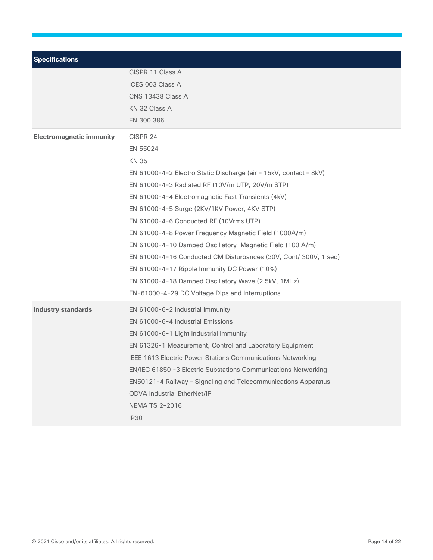| <b>Specifications</b>           |                                                                                                                                                                                                                                                                                                                                                                                                                                                                                                                                                                                                                                                                 |
|---------------------------------|-----------------------------------------------------------------------------------------------------------------------------------------------------------------------------------------------------------------------------------------------------------------------------------------------------------------------------------------------------------------------------------------------------------------------------------------------------------------------------------------------------------------------------------------------------------------------------------------------------------------------------------------------------------------|
|                                 | CISPR 11 Class A<br>ICES 003 Class A<br><b>CNS 13438 Class A</b><br>KN 32 Class A<br>EN 300 386                                                                                                                                                                                                                                                                                                                                                                                                                                                                                                                                                                 |
| <b>Electromagnetic immunity</b> | CISPR 24<br>EN 55024<br><b>KN 35</b><br>EN 61000-4-2 Electro Static Discharge (air - 15kV, contact - 8kV)<br>EN 61000-4-3 Radiated RF (10V/m UTP, 20V/m STP)<br>EN 61000-4-4 Electromagnetic Fast Transients (4kV)<br>EN 61000-4-5 Surge (2KV/1KV Power, 4KV STP)<br>EN 61000-4-6 Conducted RF (10Vrms UTP)<br>EN 61000-4-8 Power Frequency Magnetic Field (1000A/m)<br>EN 61000-4-10 Damped Oscillatory Magnetic Field (100 A/m)<br>EN 61000-4-16 Conducted CM Disturbances (30V, Cont/ 300V, 1 sec)<br>EN 61000-4-17 Ripple Immunity DC Power (10%)<br>EN 61000-4-18 Damped Oscillatory Wave (2.5kV, 1MHz)<br>EN-61000-4-29 DC Voltage Dips and Interruptions |
| <b>Industry standards</b>       | EN 61000-6-2 Industrial Immunity<br>EN 61000-6-4 Industrial Emissions<br>EN 61000-6-1 Light Industrial Immunity<br>EN 61326-1 Measurement, Control and Laboratory Equipment<br>IEEE 1613 Electric Power Stations Communications Networking<br>EN/IEC 61850 -3 Electric Substations Communications Networking<br>EN50121-4 Railway - Signaling and Telecommunications Apparatus<br><b>ODVA Industrial EtherNet/IP</b><br><b>NEMA TS 2-2016</b><br><b>IP30</b>                                                                                                                                                                                                    |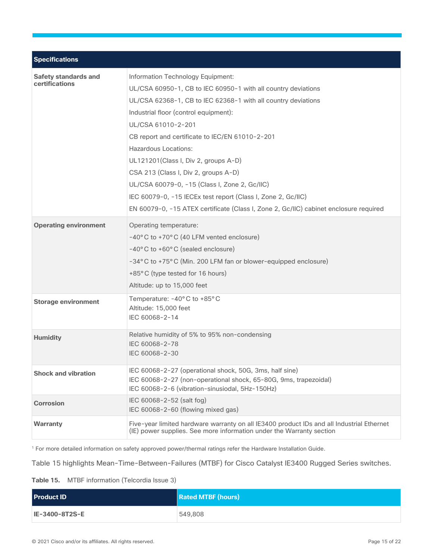| <b>Specifications</b>                         |                                                                                                                                                                                                                                                                                                                                                                                                                                                                                                                                                                                                                |
|-----------------------------------------------|----------------------------------------------------------------------------------------------------------------------------------------------------------------------------------------------------------------------------------------------------------------------------------------------------------------------------------------------------------------------------------------------------------------------------------------------------------------------------------------------------------------------------------------------------------------------------------------------------------------|
| <b>Safety standards and</b><br>certifications | Information Technology Equipment:<br>UL/CSA 60950-1, CB to IEC 60950-1 with all country deviations<br>UL/CSA 62368-1, CB to IEC 62368-1 with all country deviations<br>Industrial floor (control equipment):<br>UL/CSA 61010-2-201<br>CB report and certificate to IEC/EN 61010-2-201<br><b>Hazardous Locations:</b><br>UL121201(Class I, Div 2, groups A-D)<br>CSA 213 (Class I, Div 2, groups A-D)<br>UL/CSA 60079-0, -15 (Class I, Zone 2, Gc/IIC)<br>IEC 60079-0, -15 IECEx test report (Class I, Zone 2, Gc/IIC)<br>EN 60079-0, -15 ATEX certifícate (Class I, Zone 2, Gc/IIC) cabinet enclosure required |
| <b>Operating environment</b>                  | Operating temperature:<br>-40°C to +70°C (40 LFM vented enclosure)<br>-40°C to +60°C (sealed enclosure)<br>-34°C to +75°C (Min. 200 LFM fan or blower-equipped enclosure)<br>+85°C (type tested for 16 hours)<br>Altitude: up to 15,000 feet                                                                                                                                                                                                                                                                                                                                                                   |
| <b>Storage environment</b>                    | Temperature: -40°C to +85°C<br>Altitude: 15,000 feet<br>IEC 60068-2-14                                                                                                                                                                                                                                                                                                                                                                                                                                                                                                                                         |
| <b>Humidity</b>                               | Relative humidity of 5% to 95% non-condensing<br>IEC 60068-2-78<br>IEC 60068-2-30                                                                                                                                                                                                                                                                                                                                                                                                                                                                                                                              |
| <b>Shock and vibration</b>                    | IEC 60068-2-27 (operational shock, 50G, 3ms, half sine)<br>IEC 60068-2-27 (non-operational shock, 65-80G, 9ms, trapezoidal)<br>IEC 60068-2-6 (vibration-sinusiodal, 5Hz-150Hz)                                                                                                                                                                                                                                                                                                                                                                                                                                 |
| <b>Corrosion</b>                              | IEC 60068-2-52 (salt fog)<br>IEC 60068-2-60 (flowing mixed gas)                                                                                                                                                                                                                                                                                                                                                                                                                                                                                                                                                |
| <b>Warranty</b>                               | Five-year limited hardware warranty on all IE3400 product IDs and all Industrial Ethernet<br>(IE) power supplies. See more information under the Warranty section                                                                                                                                                                                                                                                                                                                                                                                                                                              |

<sup>1</sup> For more detailed information on safety approved power/thermal ratings refer the Hardware Installation Guide.

Table 15 highlights Mean-Time-Between-Failures (MTBF) for Cisco Catalyst IE3400 Rugged Series switches.

**Table 15.** MTBF information (Telcordia Issue 3)

| <b>Product ID</b>     | <b>Rated MTBF (hours)</b> |
|-----------------------|---------------------------|
| <b>IE-3400-8T2S-E</b> | 549,808                   |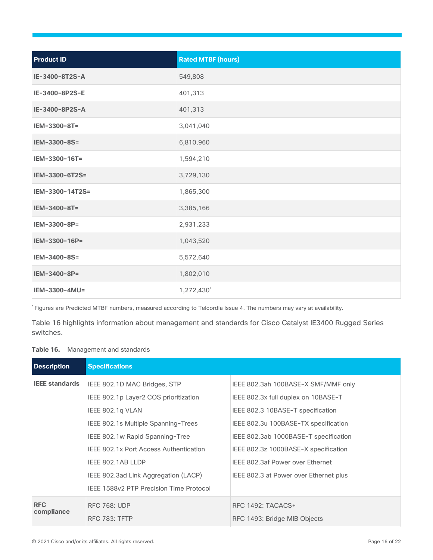| <b>Product ID</b>    | <b>Rated MTBF (hours)</b> |
|----------------------|---------------------------|
| IE-3400-8T2S-A       | 549,808                   |
| IE-3400-8P2S-E       | 401,313                   |
| IE-3400-8P2S-A       | 401,313                   |
| IEM-3300-8T=         | 3,041,040                 |
| IEM-3300-8S=         | 6,810,960                 |
| IEM-3300-16T=        | 1,594,210                 |
| IEM-3300-6T2S=       | 3,729,130                 |
| IEM-3300-14T2S=      | 1,865,300                 |
| IEM-3400-8T=         | 3,385,166                 |
| IEM-3300-8P=         | 2,931,233                 |
| IEM-3300-16P=        | 1,043,520                 |
| IEM-3400-8S=         | 5,572,640                 |
| IEM-3400-8P=         | 1,802,010                 |
| <b>IEM-3300-4MU=</b> | 1,272,430*                |

\* Figures are Predicted MTBF numbers, measured according to Telcordia Issue 4. The numbers may vary at availability.

Table 16 highlights information about management and standards for Cisco Catalyst IE3400 Rugged Series switches.

<span id="page-15-0"></span>

| Table 16. | Management and standards |  |  |
|-----------|--------------------------|--|--|
|-----------|--------------------------|--|--|

| <b>Description</b>    | <b>Specifications</b>                   |                                        |
|-----------------------|-----------------------------------------|----------------------------------------|
| <b>IEEE</b> standards | IEEE 802.1D MAC Bridges, STP            | IEEE 802.3ah 100BASE-X SMF/MMF only    |
|                       | IEEE 802.1p Layer2 COS prioritization   | IEEE 802.3x full duplex on 10BASE-T    |
|                       | IEEE 802.1g VLAN                        | IEEE 802.3 10BASE-T specification      |
|                       | IEEE 802.1s Multiple Spanning-Trees     | IEEE 802.3u 100BASE-TX specification   |
|                       | IEEE 802.1w Rapid Spanning-Tree         | IEEE 802.3ab 1000BASE-T specification  |
|                       | IEEE 802.1x Port Access Authentication  | IEEE 802.3z 1000BASE-X specification   |
|                       | IEEE 802.1AB LLDP                       | IEEE 802.3af Power over Ethernet       |
|                       | IEEE 802.3ad Link Aggregation (LACP)    | IEEE 802.3 at Power over Ethernet plus |
|                       | IEEE 1588y2 PTP Precision Time Protocol |                                        |
| <b>RFC</b>            | <b>RFC 768: UDP</b>                     | RFC 1492: TACACS+                      |
| compliance            | <b>RFC 783: TFTP</b>                    | RFC 1493: Bridge MIB Objects           |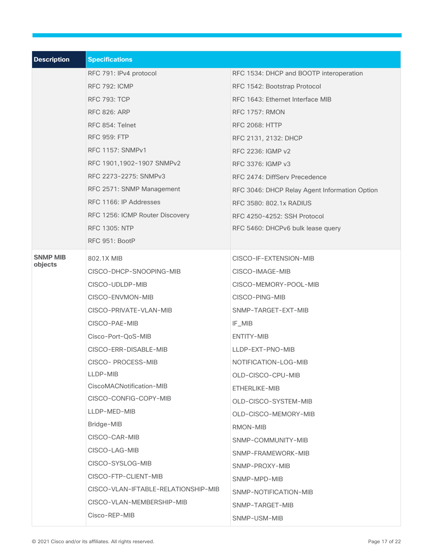| <b>Description</b> | <b>Specifications</b>               |                                               |
|--------------------|-------------------------------------|-----------------------------------------------|
|                    | RFC 791: IPv4 protocol              | RFC 1534: DHCP and BOOTP interoperation       |
|                    | <b>RFC 792: ICMP</b>                | RFC 1542: Bootstrap Protocol                  |
|                    | <b>RFC 793: TCP</b>                 | RFC 1643: Ethernet Interface MIB              |
|                    | <b>RFC 826: ARP</b>                 | <b>RFC 1757: RMON</b>                         |
|                    | RFC 854: Telnet                     | <b>RFC 2068: HTTP</b>                         |
|                    | <b>RFC 959: FTP</b>                 | RFC 2131, 2132: DHCP                          |
|                    | <b>RFC 1157: SNMPv1</b>             | RFC 2236: IGMP v2                             |
|                    | RFC 1901,1902-1907 SNMPv2           | RFC 3376: IGMP v3                             |
|                    | RFC 2273-2275: SNMPv3               | RFC 2474: DiffServ Precedence                 |
|                    | RFC 2571: SNMP Management           | RFC 3046: DHCP Relay Agent Information Option |
|                    | RFC 1166: IP Addresses              | RFC 3580: 802.1x RADIUS                       |
|                    | RFC 1256: ICMP Router Discovery     | RFC 4250-4252: SSH Protocol                   |
|                    | <b>RFC 1305: NTP</b>                | RFC 5460: DHCPv6 bulk lease query             |
|                    | RFC 951: BootP                      |                                               |
| <b>SNMP MIB</b>    | 802.1X MIB                          | CISCO-IF-EXTENSION-MIB                        |
| objects            | CISCO-DHCP-SNOOPING-MIB             | CISCO-IMAGE-MIB                               |
|                    | CISCO-UDLDP-MIB                     | CISCO-MEMORY-POOL-MIB                         |
|                    | CISCO-ENVMON-MIB                    | CISCO-PING-MIB                                |
|                    | CISCO-PRIVATE-VLAN-MIB              | SNMP-TARGET-EXT-MIB                           |
|                    | CISCO-PAE-MIB                       | IF_MIB                                        |
|                    | Cisco-Port-QoS-MIB                  | <b>ENTITY-MIB</b>                             |
|                    | CISCO-ERR-DISABLE-MIB               | LLDP-EXT-PNO-MIB                              |
|                    | CISCO- PROCESS-MIB                  | NOTIFICATION-LOG-MIB                          |
|                    | LLDP-MIB                            | OLD-CISCO-CPU-MIB                             |
|                    | CiscoMACNotification-MIB            | ETHERLIKE-MIB                                 |
|                    | CISCO-CONFIG-COPY-MIB               | OLD-CISCO-SYSTEM-MIB                          |
|                    | LLDP-MED-MIB                        | OLD-CISCO-MEMORY-MIB                          |
|                    | Bridge-MIB                          | RMON-MIB                                      |
|                    | CISCO-CAR-MIB                       | SNMP-COMMUNITY-MIB                            |
|                    | CISCO-LAG-MIB                       | SNMP-FRAMEWORK-MIB                            |
|                    | CISCO-SYSLOG-MIB                    | SNMP-PROXY-MIB                                |
|                    | CISCO-FTP-CLIENT-MIB                | SNMP-MPD-MIB                                  |
|                    | CISCO-VLAN-IFTABLE-RELATIONSHIP-MIB | SNMP-NOTIFICATION-MIB                         |
|                    | CISCO-VLAN-MEMBERSHIP-MIB           | SNMP-TARGET-MIB                               |
|                    | Cisco-REP-MIB                       | SNMP-USM-MIB                                  |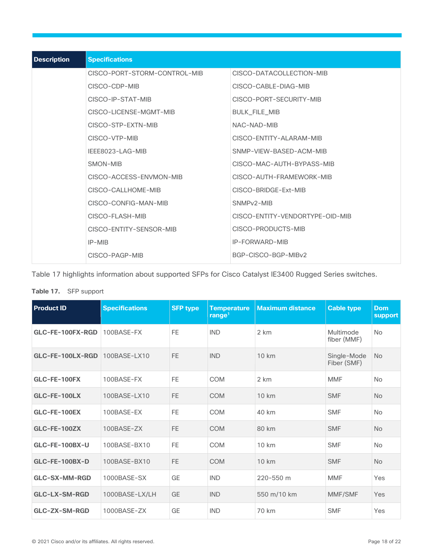| <b>Description</b> | <b>Specifications</b>        |                                 |
|--------------------|------------------------------|---------------------------------|
|                    | CISCO-PORT-STORM-CONTROL-MIB | CISCO-DATACOLLECTION-MIB        |
|                    | CISCO-CDP-MIB                | CISCO-CABLE-DIAG-MIB            |
|                    | CISCO-IP-STAT-MIB            | CISCO-PORT-SECURITY-MIB         |
|                    | CISCO-LICENSE-MGMT-MIB       | <b>BULK FILE MIB</b>            |
|                    | CISCO-STP-EXTN-MIB           | NAC-NAD-MIB                     |
|                    | CISCO-VTP-MIB                | CISCO-ENTITY-ALARAM-MIB         |
|                    | IFFF8023-LAG-MIB             | SNMP-VIEW-BASED-ACM-MIB         |
|                    | SMON-MIB                     | CISCO-MAC-AUTH-BYPASS-MIB       |
|                    | CISCO-ACCESS-ENVMON-MIB      | CISCO-AUTH-FRAMEWORK-MIB        |
|                    | CISCO-CALLHOME-MIB           | CISCO-BRIDGE-Ext-MIB            |
|                    | CISCO-CONFIG-MAN-MIB         | SNMP <sub>v2</sub> -MIB         |
|                    | CISCO-FLASH-MIB              | CISCO-ENTITY-VENDORTYPE-OID-MIB |
|                    | CISCO-ENTITY-SENSOR-MIB      | CISCO-PRODUCTS-MIB              |
|                    | IP-MIB                       | IP-FORWARD-MIB                  |
|                    | CISCO-PAGP-MIB               | BGP-CISCO-BGP-MIBv2             |

Table 17 highlights information about supported SFPs for Cisco Catalyst IE3400 Rugged Series switches.

<span id="page-17-0"></span>

| Table 17.<br>SFP support |  |  |  |  |  |
|--------------------------|--|--|--|--|--|
|--------------------------|--|--|--|--|--|

| <b>Product ID</b>     | <b>Specifications</b> | <b>SFP type</b> | <b>Temperature</b><br>range $1$ | <b>Maximum distance</b> | <b>Cable type</b>          | <b>Dom</b><br>support |
|-----------------------|-----------------------|-----------------|---------------------------------|-------------------------|----------------------------|-----------------------|
| GLC-FE-100FX-RGD      | 100BASE-FX            | FF.             | <b>IND</b>                      | 2 km                    | Multimode<br>fiber (MMF)   | <b>No</b>             |
| GLC-FE-100LX-RGD      | 100BASE-LX10          | FF.             | <b>IND</b>                      | 10 km                   | Single-Mode<br>Fiber (SMF) | <b>No</b>             |
| GLC-FE-100FX          | 100BASE-FX            | <b>FE</b>       | COM                             | 2 km                    | <b>MMF</b>                 | <b>No</b>             |
| GLC-FE-100LX          | 100BASE-LX10          | FE.             | COM                             | 10 km                   | <b>SMF</b>                 | <b>No</b>             |
| GLC-FE-100EX          | 100BASE-EX            | <b>FE</b>       | COM                             | 40 km                   | <b>SMF</b>                 | <b>No</b>             |
| <b>GLC-FE-100ZX</b>   | 100BASE-ZX            | FE.             | <b>COM</b>                      | 80 km                   | <b>SMF</b>                 | <b>No</b>             |
| <b>GLC-FE-100BX-U</b> | 100BASE-BX10          | <b>FE</b>       | COM                             | 10 km                   | <b>SMF</b>                 | <b>No</b>             |
| <b>GLC-FE-100BX-D</b> | 100BASE-BX10          | FE.             | <b>COM</b>                      | 10 km                   | <b>SMF</b>                 | <b>No</b>             |
| GLC-SX-MM-RGD         | 1000BASE-SX           | <b>GE</b>       | <b>IND</b>                      | 220-550 m               | <b>MMF</b>                 | Yes                   |
| <b>GLC-LX-SM-RGD</b>  | 1000BASE-LX/LH        | <b>GE</b>       | <b>IND</b>                      | 550 m/10 km             | <b>MMF/SMF</b>             | Yes                   |
| GLC-ZX-SM-RGD         | 1000BASF-7X           | GE              | <b>IND</b>                      | 70 km                   | <b>SMF</b>                 | Yes                   |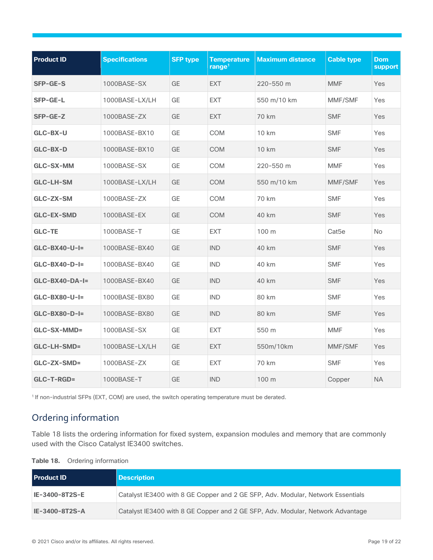| <b>Product ID</b>    | <b>Specifications</b> | <b>SFP type</b> | <b>Temperature</b><br>range <sup>1</sup> | <b>Maximum distance</b> | <b>Cable type</b> | <b>Dom</b><br>support |
|----------------------|-----------------------|-----------------|------------------------------------------|-------------------------|-------------------|-----------------------|
| <b>SFP-GE-S</b>      | 1000BASE-SX           | GE              | <b>EXT</b>                               | 220-550 m               | <b>MMF</b>        | Yes                   |
| <b>SFP-GE-L</b>      | 1000BASE-LX/LH        | GE              | <b>EXT</b>                               | 550 m/10 km             | MMF/SMF           | Yes                   |
| SFP-GE-Z             | 1000BASE-ZX           | GE              | <b>EXT</b>                               | 70 km                   | <b>SMF</b>        | Yes                   |
| GLC-BX-U             | 1000BASE-BX10         | <b>GE</b>       | <b>COM</b>                               | 10 km                   | <b>SMF</b>        | <b>Yes</b>            |
| GLC-BX-D             | 1000BASE-BX10         | GE              | <b>COM</b>                               | <b>10 km</b>            | <b>SMF</b>        | Yes                   |
| <b>GLC-SX-MM</b>     | 1000BASE-SX           | <b>GE</b>       | <b>COM</b>                               | 220-550 m               | <b>MMF</b>        | <b>Yes</b>            |
| <b>GLC-LH-SM</b>     | 1000BASE-LX/LH        | GE              | <b>COM</b>                               | 550 m/10 km             | MMF/SMF           | Yes                   |
| GLC-ZX-SM            | 1000BASE-ZX           | <b>GE</b>       | <b>COM</b>                               | 70 km                   | <b>SMF</b>        | <b>Yes</b>            |
| <b>GLC-EX-SMD</b>    | 1000BASE-EX           | <b>GE</b>       | <b>COM</b>                               | 40 km                   | <b>SMF</b>        | Yes                   |
| <b>GLC-TE</b>        | 1000BASE-T            | <b>GE</b>       | <b>EXT</b>                               | 100 m                   | Cat <sub>5e</sub> | <b>No</b>             |
| <b>GLC-BX40-U-I=</b> | 1000BASE-BX40         | <b>GE</b>       | <b>IND</b>                               | 40 km                   | <b>SMF</b>        | Yes                   |
| $GLC-BX40-D-I=$      | 1000BASE-BX40         | <b>GE</b>       | <b>IND</b>                               | 40 km                   | <b>SMF</b>        | Yes                   |
| $GLC-BX40-DA-I=$     | 1000BASE-BX40         | <b>GE</b>       | <b>IND</b>                               | 40 km                   | <b>SMF</b>        | Yes                   |
| $GLC-BX80-U-I=$      | 1000BASE-BX80         | <b>GE</b>       | <b>IND</b>                               | 80 km                   | <b>SMF</b>        | Yes                   |
| $GLC-BX80-D-I=$      | 1000BASE-BX80         | GE              | <b>IND</b>                               | 80 km                   | <b>SMF</b>        | Yes                   |
| GLC-SX-MMD=          | 1000BASE-SX           | GE              | <b>EXT</b>                               | 550 m                   | <b>MMF</b>        | Yes                   |
| <b>GLC-LH-SMD=</b>   | 1000BASE-LX/LH        | <b>GE</b>       | <b>EXT</b>                               | 550m/10km               | MMF/SMF           | Yes                   |
| GLC-ZX-SMD=          | 1000BASE-ZX           | GE              | <b>EXT</b>                               | 70 km                   | <b>SMF</b>        | Yes                   |
| GLC-T-RGD=           | 1000BASE-T            | GE              | <b>IND</b>                               | 100 m                   | Copper            | <b>NA</b>             |

<sup>1</sup> If non-industrial SFPs (EXT, COM) are used, the switch operating temperature must be derated.

## <span id="page-18-0"></span>Ordering information

Table 18 lists the ordering information for fixed system, expansion modules and memory that are commonly used with the Cisco Catalyst IE3400 switches.

<span id="page-18-1"></span>

| Table 18. | Ordering information |
|-----------|----------------------|

| Product ID            | <b>Description</b>                                                              |
|-----------------------|---------------------------------------------------------------------------------|
| <b>IE-3400-8T2S-E</b> | Catalyst IE3400 with 8 GE Copper and 2 GE SFP, Adv. Modular, Network Essentials |
| IE-3400-8T2S-A        | Catalyst IE3400 with 8 GE Copper and 2 GE SFP, Adv. Modular, Network Advantage  |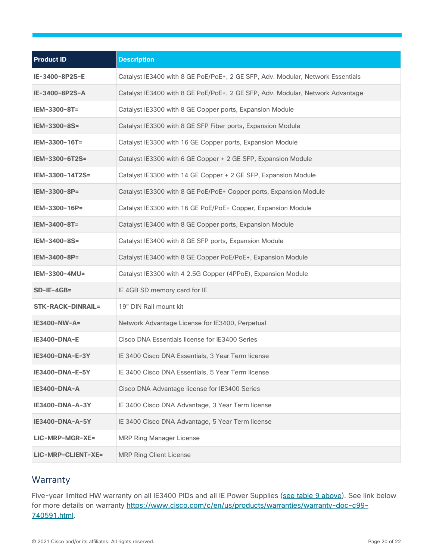| <b>Product ID</b>        | <b>Description</b>                                                             |
|--------------------------|--------------------------------------------------------------------------------|
| IE-3400-8P2S-E           | Catalyst IE3400 with 8 GE PoE/PoE+, 2 GE SFP, Adv. Modular, Network Essentials |
| IE-3400-8P2S-A           | Catalyst IE3400 with 8 GE PoE/PoE+, 2 GE SFP, Adv. Modular, Network Advantage  |
| IEM-3300-8T=             | Catalyst IE3300 with 8 GE Copper ports, Expansion Module                       |
| IEM-3300-8S=             | Catalyst IE3300 with 8 GE SFP Fiber ports, Expansion Module                    |
| IEM-3300-16T=            | Catalyst IE3300 with 16 GE Copper ports, Expansion Module                      |
| IEM-3300-6T2S=           | Catalyst IE3300 with 6 GE Copper + 2 GE SFP, Expansion Module                  |
| IEM-3300-14T2S=          | Catalyst IE3300 with 14 GE Copper + 2 GE SFP, Expansion Module                 |
| IEM-3300-8P=             | Catalyst IE3300 with 8 GE PoE/PoE+ Copper ports, Expansion Module              |
| IEM-3300-16P=            | Catalyst IE3300 with 16 GE PoE/PoE+ Copper, Expansion Module                   |
| IEM-3400-8T=             | Catalyst IE3400 with 8 GE Copper ports, Expansion Module                       |
| IEM-3400-8S=             | Catalyst IE3400 with 8 GE SFP ports, Expansion Module                          |
| IEM-3400-8P=             | Catalyst IE3400 with 8 GE Copper PoE/PoE+, Expansion Module                    |
| <b>IEM-3300-4MU=</b>     | Catalyst IE3300 with 4 2.5G Copper (4PPoE), Expansion Module                   |
| $SD$ -IE-4GB=            | IE 4GB SD memory card for IE                                                   |
| <b>STK-RACK-DINRAIL=</b> | 19" DIN Rail mount kit                                                         |
| $IE3400-NW-A=$           | Network Advantage License for IE3400, Perpetual                                |
| <b>IE3400-DNA-E</b>      | Cisco DNA Essentials license for IE3400 Series                                 |
| IE3400-DNA-E-3Y          | IE 3400 Cisco DNA Essentials, 3 Year Term license                              |
| IE3400-DNA-E-5Y          | IE 3400 Cisco DNA Essentials, 5 Year Term license                              |
| IE3400-DNA-A             | Cisco DNA Advantage license for IE3400 Series                                  |
| <b>IE3400-DNA-A-3Y</b>   | IE 3400 Cisco DNA Advantage, 3 Year Term license                               |
| <b>IE3400-DNA-A-5Y</b>   | IE 3400 Cisco DNA Advantage, 5 Year Term license                               |
| LIC-MRP-MGR-XE=          | <b>MRP Ring Manager License</b>                                                |
| LIC-MRP-CLIENT-XE=       | <b>MRP Ring Client License</b>                                                 |

## <span id="page-19-0"></span>**Warranty**

Five-year limited HW warranty on all IE3400 PIDs and all IE Power Supplies [\(see table 9 above\)](#page-10-0). See link below for more details on warranty [https://www.cisco.com/c/en/us/products/warranties/warranty-doc-c99-](https://www.cisco.com/c/en/us/products/warranties/warranty-doc-c99-740591.html) [740591.html.](https://www.cisco.com/c/en/us/products/warranties/warranty-doc-c99-740591.html)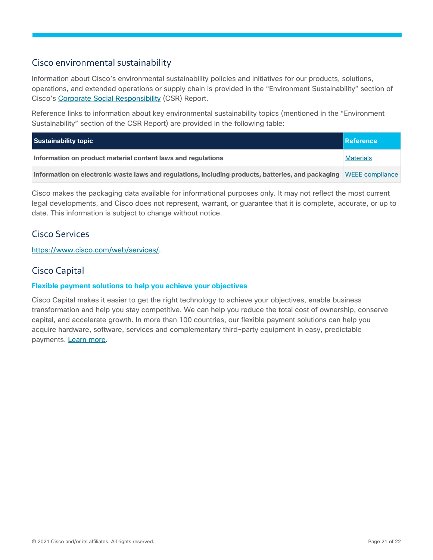## <span id="page-20-0"></span>Cisco environmental sustainability

Information about Cisco's environmental sustainability policies and initiatives for our products, solutions, operations, and extended operations or supply chain is provided in the "Environment Sustainability" section of Cisco's [Corporate Social Responsibility](https://www-1.compliance2product.com/c2p/getAttachment.do?code=YM6Y0yThdO6Wj1FxxYPYfUG2dtFkTeFWGpzLRO8tcURFEifUCRV403Tq2ZMWP6Ai) (CSR) Report.

Reference links to information about key environmental sustainability topics (mentioned in the "Environment Sustainability" section of the CSR Report) are provided in the following table:

| Sustainability topic                                                                                               | <b>Reference</b> |
|--------------------------------------------------------------------------------------------------------------------|------------------|
| Information on product material content laws and regulations                                                       | <b>Materials</b> |
| Information on electronic waste laws and regulations, including products, batteries, and packaging WEEE compliance |                  |

Cisco makes the packaging data available for informational purposes only. It may not reflect the most current legal developments, and Cisco does not represent, warrant, or guarantee that it is complete, accurate, or up to date. This information is subject to change without notice.

## <span id="page-20-1"></span>Cisco Services

[https://www.cisco.com/web/services/.](https://www.cisco.com/web/services/)

## <span id="page-20-2"></span>Cisco Capital

#### **Flexible payment solutions to help you achieve your objectives**

Cisco Capital makes it easier to get the right technology to achieve your objectives, enable business transformation and help you stay competitive. We can help you reduce the total cost of ownership, conserve capital, and accelerate growth. In more than 100 countries, our flexible payment solutions can help you acquire hardware, software, services and complementary third-party equipment in easy, predictable payments. [Learn more.](https://www.cisco.com/go/financing)